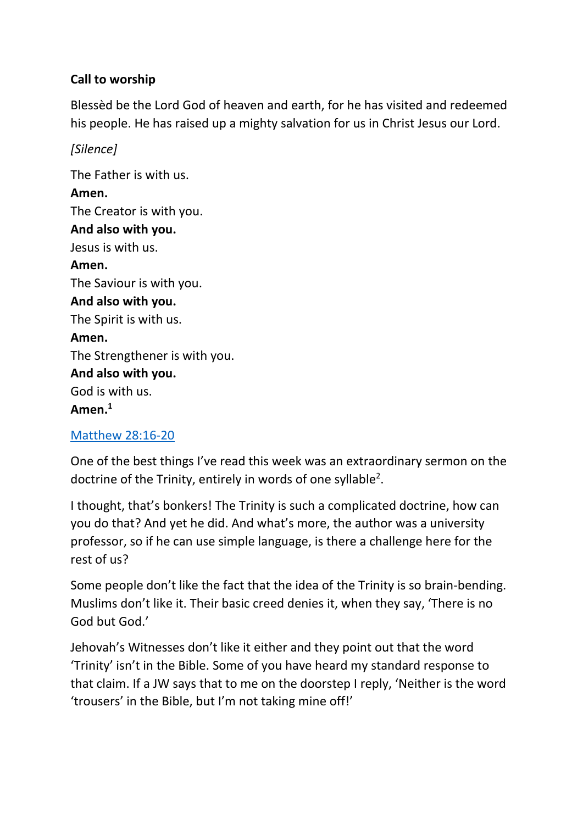# **Call to worship**

Blessèd be the Lord God of heaven and earth, for he has visited and redeemed his people. He has raised up a mighty salvation for us in Christ Jesus our Lord.

### *[Silence]*

The Father is with us. **Amen.** The Creator is with you. **And also with you.** Jesus is with us. **Amen.** The Saviour is with you. **And also with you.** The Spirit is with us. **Amen.** The Strengthener is with you. **And also with you.**  God is with us. **Amen.<sup>1</sup>**

### [Matthew 28:16-20](https://www.biblegateway.com/passage/?search=Matthew+28%3A16-20&version=NIVUK)

One of the best things I've read this week was an extraordinary sermon on the doctrine of the Trinity, entirely in words of one syllable<sup>2</sup>.

I thought, that's bonkers! The Trinity is such a complicated doctrine, how can you do that? And yet he did. And what's more, the author was a university professor, so if he can use simple language, is there a challenge here for the rest of us?

Some people don't like the fact that the idea of the Trinity is so brain-bending. Muslims don't like it. Their basic creed denies it, when they say, 'There is no God but God.'

Jehovah's Witnesses don't like it either and they point out that the word 'Trinity' isn't in the Bible. Some of you have heard my standard response to that claim. If a JW says that to me on the doorstep I reply, 'Neither is the word 'trousers' in the Bible, but I'm not taking mine off!'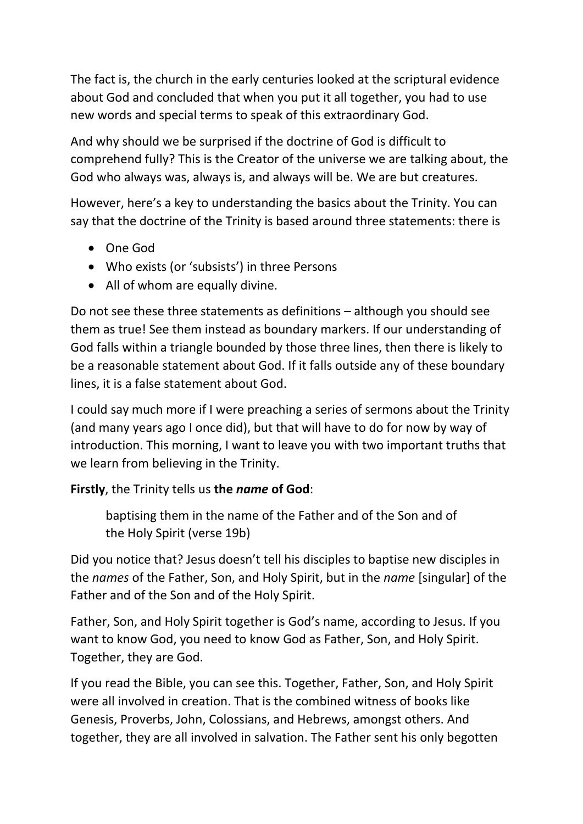The fact is, the church in the early centuries looked at the scriptural evidence about God and concluded that when you put it all together, you had to use new words and special terms to speak of this extraordinary God.

And why should we be surprised if the doctrine of God is difficult to comprehend fully? This is the Creator of the universe we are talking about, the God who always was, always is, and always will be. We are but creatures.

However, here's a key to understanding the basics about the Trinity. You can say that the doctrine of the Trinity is based around three statements: there is

- One God
- Who exists (or 'subsists') in three Persons
- All of whom are equally divine.

Do not see these three statements as definitions – although you should see them as true! See them instead as boundary markers. If our understanding of God falls within a triangle bounded by those three lines, then there is likely to be a reasonable statement about God. If it falls outside any of these boundary lines, it is a false statement about God.

I could say much more if I were preaching a series of sermons about the Trinity (and many years ago I once did), but that will have to do for now by way of introduction. This morning, I want to leave you with two important truths that we learn from believing in the Trinity.

### **Firstly**, the Trinity tells us **the** *name* **of God**:

baptising them in the name of the Father and of the Son and of the Holy Spirit (verse 19b)

Did you notice that? Jesus doesn't tell his disciples to baptise new disciples in the *names* of the Father, Son, and Holy Spirit, but in the *name* [singular] of the Father and of the Son and of the Holy Spirit.

Father, Son, and Holy Spirit together is God's name, according to Jesus. If you want to know God, you need to know God as Father, Son, and Holy Spirit. Together, they are God.

If you read the Bible, you can see this. Together, Father, Son, and Holy Spirit were all involved in creation. That is the combined witness of books like Genesis, Proverbs, John, Colossians, and Hebrews, amongst others. And together, they are all involved in salvation. The Father sent his only begotten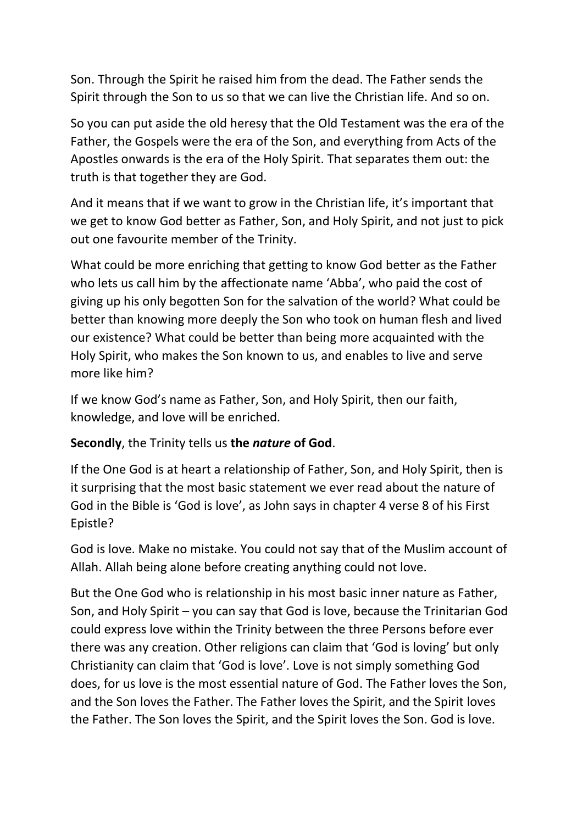Son. Through the Spirit he raised him from the dead. The Father sends the Spirit through the Son to us so that we can live the Christian life. And so on.

So you can put aside the old heresy that the Old Testament was the era of the Father, the Gospels were the era of the Son, and everything from Acts of the Apostles onwards is the era of the Holy Spirit. That separates them out: the truth is that together they are God.

And it means that if we want to grow in the Christian life, it's important that we get to know God better as Father, Son, and Holy Spirit, and not just to pick out one favourite member of the Trinity.

What could be more enriching that getting to know God better as the Father who lets us call him by the affectionate name 'Abba', who paid the cost of giving up his only begotten Son for the salvation of the world? What could be better than knowing more deeply the Son who took on human flesh and lived our existence? What could be better than being more acquainted with the Holy Spirit, who makes the Son known to us, and enables to live and serve more like him?

If we know God's name as Father, Son, and Holy Spirit, then our faith, knowledge, and love will be enriched.

**Secondly**, the Trinity tells us **the** *nature* **of God**.

If the One God is at heart a relationship of Father, Son, and Holy Spirit, then is it surprising that the most basic statement we ever read about the nature of God in the Bible is 'God is love', as John says in chapter 4 verse 8 of his First Epistle?

God is love. Make no mistake. You could not say that of the Muslim account of Allah. Allah being alone before creating anything could not love.

But the One God who is relationship in his most basic inner nature as Father, Son, and Holy Spirit – you can say that God is love, because the Trinitarian God could express love within the Trinity between the three Persons before ever there was any creation. Other religions can claim that 'God is loving' but only Christianity can claim that 'God is love'. Love is not simply something God does, for us love is the most essential nature of God. The Father loves the Son, and the Son loves the Father. The Father loves the Spirit, and the Spirit loves the Father. The Son loves the Spirit, and the Spirit loves the Son. God is love.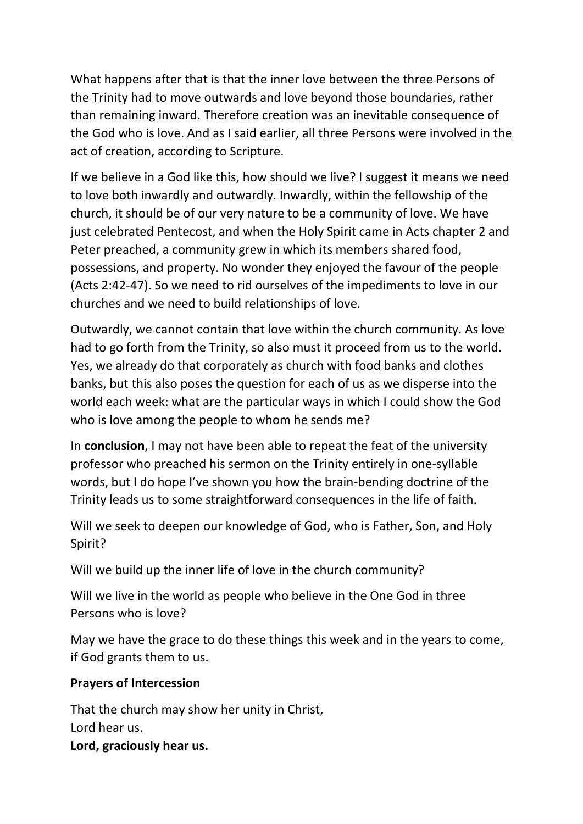What happens after that is that the inner love between the three Persons of the Trinity had to move outwards and love beyond those boundaries, rather than remaining inward. Therefore creation was an inevitable consequence of the God who is love. And as I said earlier, all three Persons were involved in the act of creation, according to Scripture.

If we believe in a God like this, how should we live? I suggest it means we need to love both inwardly and outwardly. Inwardly, within the fellowship of the church, it should be of our very nature to be a community of love. We have just celebrated Pentecost, and when the Holy Spirit came in Acts chapter 2 and Peter preached, a community grew in which its members shared food, possessions, and property. No wonder they enjoyed the favour of the people (Acts 2:42-47). So we need to rid ourselves of the impediments to love in our churches and we need to build relationships of love.

Outwardly, we cannot contain that love within the church community. As love had to go forth from the Trinity, so also must it proceed from us to the world. Yes, we already do that corporately as church with food banks and clothes banks, but this also poses the question for each of us as we disperse into the world each week: what are the particular ways in which I could show the God who is love among the people to whom he sends me?

In **conclusion**, I may not have been able to repeat the feat of the university professor who preached his sermon on the Trinity entirely in one-syllable words, but I do hope I've shown you how the brain-bending doctrine of the Trinity leads us to some straightforward consequences in the life of faith.

Will we seek to deepen our knowledge of God, who is Father, Son, and Holy Spirit?

Will we build up the inner life of love in the church community?

Will we live in the world as people who believe in the One God in three Persons who is love?

May we have the grace to do these things this week and in the years to come, if God grants them to us.

### **Prayers of Intercession**

That the church may show her unity in Christ, Lord hear us. **Lord, graciously hear us.**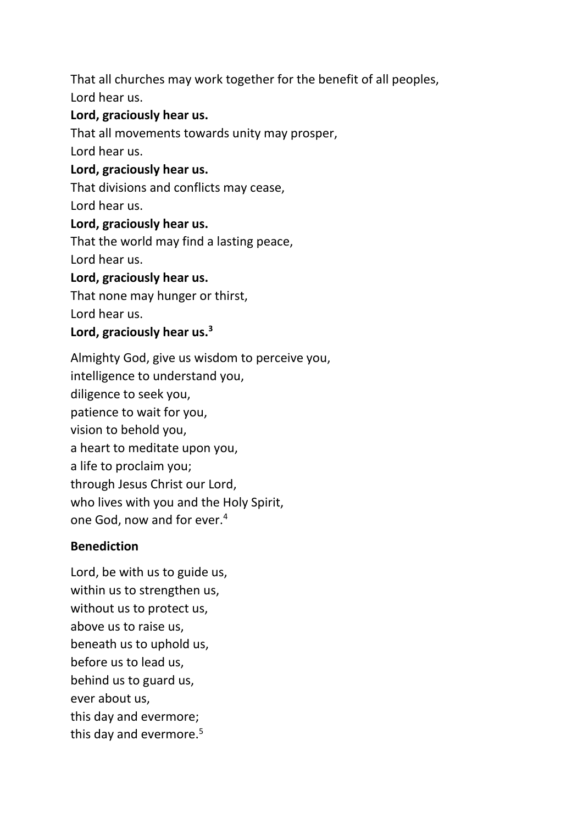That all churches may work together for the benefit of all peoples, Lord hear us.

# **Lord, graciously hear us.**

That all movements towards unity may prosper,

Lord hear us.

#### **Lord, graciously hear us.**

That divisions and conflicts may cease, Lord hear us.

#### **Lord, graciously hear us.**

That the world may find a lasting peace, Lord hear us.

#### **Lord, graciously hear us.**

That none may hunger or thirst,

Lord hear us.

#### **Lord, graciously hear us.<sup>3</sup>**

Almighty God, give us wisdom to perceive you, intelligence to understand you, diligence to seek you, patience to wait for you, vision to behold you, a heart to meditate upon you, a life to proclaim you; through Jesus Christ our Lord, who lives with you and the Holy Spirit, one God, now and for ever.<sup>4</sup>

### **Benediction**

Lord, be with us to guide us, within us to strengthen us, without us to protect us, above us to raise us, beneath us to uphold us, before us to lead us, behind us to guard us, ever about us, this day and evermore; this day and evermore.<sup>5</sup>